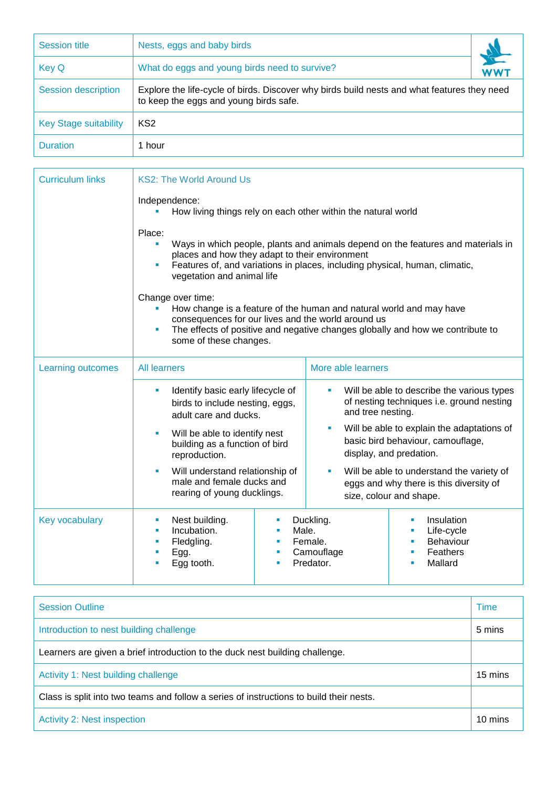| Session title                | Nests, eggs and baby birds                                                                                                            |  |  |  |
|------------------------------|---------------------------------------------------------------------------------------------------------------------------------------|--|--|--|
| <b>Key Q</b>                 | What do eggs and young birds need to survive?                                                                                         |  |  |  |
| <b>Session description</b>   | Explore the life-cycle of birds. Discover why birds build nests and what features they need<br>to keep the eggs and young birds safe. |  |  |  |
| <b>Key Stage suitability</b> | KS <sub>2</sub>                                                                                                                       |  |  |  |
| <b>Duration</b>              | 1 hour                                                                                                                                |  |  |  |

| <b>Curriculum links</b> | <b>KS2: The World Around Us</b>                                                                                                                                                                                                                            |                           |                                                                                                                          |                                                                        |  |  |  |
|-------------------------|------------------------------------------------------------------------------------------------------------------------------------------------------------------------------------------------------------------------------------------------------------|---------------------------|--------------------------------------------------------------------------------------------------------------------------|------------------------------------------------------------------------|--|--|--|
|                         | Independence:<br>How living things rely on each other within the natural world                                                                                                                                                                             |                           |                                                                                                                          |                                                                        |  |  |  |
|                         | Place:<br>Ways in which people, plants and animals depend on the features and materials in<br>places and how they adapt to their environment<br>Features of, and variations in places, including physical, human, climatic,<br>vegetation and animal life  |                           |                                                                                                                          |                                                                        |  |  |  |
|                         | Change over time:<br>How change is a feature of the human and natural world and may have<br>consequences for our lives and the world around us<br>The effects of positive and negative changes globally and how we contribute to<br>some of these changes. |                           |                                                                                                                          |                                                                        |  |  |  |
| Learning outcomes       | <b>All learners</b>                                                                                                                                                                                                                                        |                           | More able learners                                                                                                       |                                                                        |  |  |  |
|                         | Identify basic early lifecycle of<br>ш<br>birds to include nesting, eggs,<br>adult care and ducks.                                                                                                                                                         |                           | Will be able to describe the various types<br><b>M</b><br>of nesting techniques i.e. ground nesting<br>and tree nesting. |                                                                        |  |  |  |
|                         | Will be able to identify nest<br>building as a function of bird<br>reproduction.                                                                                                                                                                           |                           | Will be able to explain the adaptations of<br><b>I</b><br>basic bird behaviour, camouflage,<br>display, and predation.   |                                                                        |  |  |  |
|                         | Will understand relationship of<br>male and female ducks and<br>rearing of young ducklings.                                                                                                                                                                |                           | Will be able to understand the variety of<br>ш<br>eggs and why there is this diversity of<br>size, colour and shape.     |                                                                        |  |  |  |
| <b>Key vocabulary</b>   | Nest building.<br>a,<br>Incubation.<br>٠<br>Fledgling.<br>٠<br>Egg.<br>Egg tooth.                                                                                                                                                                          | п<br>Male.<br>п<br>п<br>п | Duckling.<br>Female.<br>Camouflage<br>Predator.                                                                          | Insulation<br>Life-cycle<br>Behaviour<br>Feathers<br>×<br>Mallard<br>٠ |  |  |  |

| <b>Session Outline</b>                                                                  |         |  |
|-----------------------------------------------------------------------------------------|---------|--|
| Introduction to nest building challenge                                                 |         |  |
| Learners are given a brief introduction to the duck nest building challenge.            |         |  |
| Activity 1: Nest building challenge                                                     |         |  |
| Class is split into two teams and follow a series of instructions to build their nests. |         |  |
| <b>Activity 2: Nest inspection</b>                                                      | 10 mins |  |